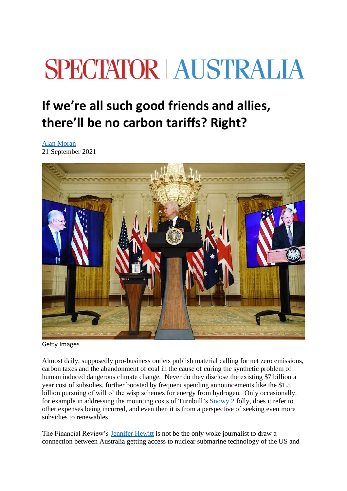## **SPECTATOR | AUSTRALIA**

## **If we're all such good friends and allies, there'll be no carbon tariffs? Right?**

[Alan Moran](https://www.spectator.com.au/author/alanmoran/) 21 September 2021



Getty Images

Almost daily, supposedly pro-business outlets publish material calling for net zero emissions, carbon taxes and the abandonment of coal in the cause of curing the synthetic problem of human induced dangerous climate change. Never do they disclose the existing \$7 billion a year cost of subsidies, further boosted by frequent spending announcements like the \$1.5 billion pursuing of will o' the wisp schemes for energy from hydrogen. Only occasionally, for example in addressing the mounting costs of Turnbull's [Snowy 2](https://www.afr.com/companies/energy/electricity-consumers-will-pay-the-hidden-bill-for-snowy-2-0-20210907-p58pmq) folly, does it refer to other expenses being incurred, and even then it is from a perspective of seeking even more subsidies to renewables.

The Financial Review's [Jennifer Hewitt](https://www.afr.com/companies/energy/morrison-can-no-longer-detour-around-a-new-2030-emission-target-20210915-p58ry1) is not be the only woke journalist to draw a connection between Australia getting access to nuclear submarine technology of the US and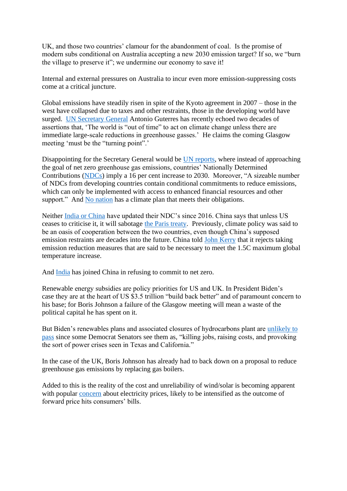UK, and those two countries' clamour for the abandonment of coal. Is the promise of modern subs conditional on Australia accepting a new 2030 emission target? If so, we "burn the village to preserve it"; we undermine our economy to save it!

Internal and external pressures on Australia to incur even more emission-suppressing costs come at a critical juncture.

Global emissions have steadily risen in spite of the Kyoto agreement in 2007 – those in the west have collapsed due to taxes and other restraints, those in the developing world have surged. [UN Secretary General](https://www.theaustralian.com.au/world/the-times/un-declares-world-is-out-of-time-on-emissions/news-story/129c0170b625d4ad26aa02c7ab8ad75c) Antonio Guterres has recently echoed two decades of assertions that, 'The world is "out of time" to act on climate change unless there are immediate large-scale reductions in greenhouse gasses.' He claims the coming Glasgow meeting 'must be the "turning point".'

Disappointing for the Secretary General would be [UN reports,](https://unfccc.int/news/full-ndc-synthesis-report-some-progress-but-still-a-big-concern) where instead of approaching the goal of net zero greenhouse gas emissions, countries' Nationally Determined Contributions [\(NDCs\)](https://unfccc.int/process-and-meetings/the-paris-agreement/nationally-determined-contributions-ndcs/nationally-determined-contributions-ndcs) imply a 16 per cent increase to 2030. Moreover, "A sizeable number of NDCs from developing countries contain conditional commitments to reduce emissions, which can only be implemented with access to enhanced financial resources and other support." And [No nation](https://edition.cnn.com/2021/09/15/world/climate-pledges-insufficient-cat-intl/index.html) has a climate plan that meets their obligations.

Neither [India or China](https://www4.unfccc.int/sites/ndcstaging/Pages/LatestSubmissions.aspx) have updated their NDC's since 2016. China says that unless US ceases to criticise it, it will sabotage [the Paris treaty.](https://english.kyodonews.net/news/2021/09/fb68ea859633-china-tells-us-prolonged-tensions-would-hurt-climate-cooperation.html?mc_cid=1b895c5378&mc_eid=b53a592ab8) Previously, climate policy was said to be an oasis of cooperation between the two countries, even though China's supposed emission restraints are decades into the future. China told [John Kerry](https://www.scmp.com/news/china/diplomacy/article/3147540/china-tells-us-envoy-john-kerry-it-will-follow-its-own-climate?mc_cid=18776b30ea&mc_eid=b53a592ab8) that it rejects taking emission reduction measures that are said to be necessary to meet the 1.5C maximum global temperature increase.

And [India](https://www.thehindu.com/news/national/no-firm-commitment-from-india-on-net-zero-says-john-kerry/article36459445.ece) has joined China in refusing to commit to net zero.

Renewable energy subsidies are policy priorities for US and UK. In President Biden's case they are at the heart of US \$3.5 trillion "build back better" and of paramount concern to his base; for Boris Johnson a failure of the Glasgow meeting will mean a waste of the political capital he has spent on it.

But Biden's renewables plans and associated closures of hydrocarbons plant are [unlikely to](https://www.wsj.com/articles/reconciliation-bill-clean-electricity-payment-program-cepp-energy-prices-manchin-sinema-11631829301?mc_cid=6b407fa84e&mc_eid=b53a592ab8)  [pass](https://www.wsj.com/articles/reconciliation-bill-clean-electricity-payment-program-cepp-energy-prices-manchin-sinema-11631829301?mc_cid=6b407fa84e&mc_eid=b53a592ab8) since some Democrat Senators see them as, "killing jobs, raising costs, and provoking the sort of power crises seen in Texas and California."

In the case of the UK, Boris Johnson has already had to back down on a proposal to reduce greenhouse gas emissions by replacing gas boilers.

Added to this is the reality of the cost and unreliability of wind/solar is becoming apparent with popular [concern](https://www.dailymail.co.uk/news/article-10003047/Household-bills-soar-1-500-year.html) about electricity prices, likely to be intensified as the outcome of forward price hits consumers' bills.